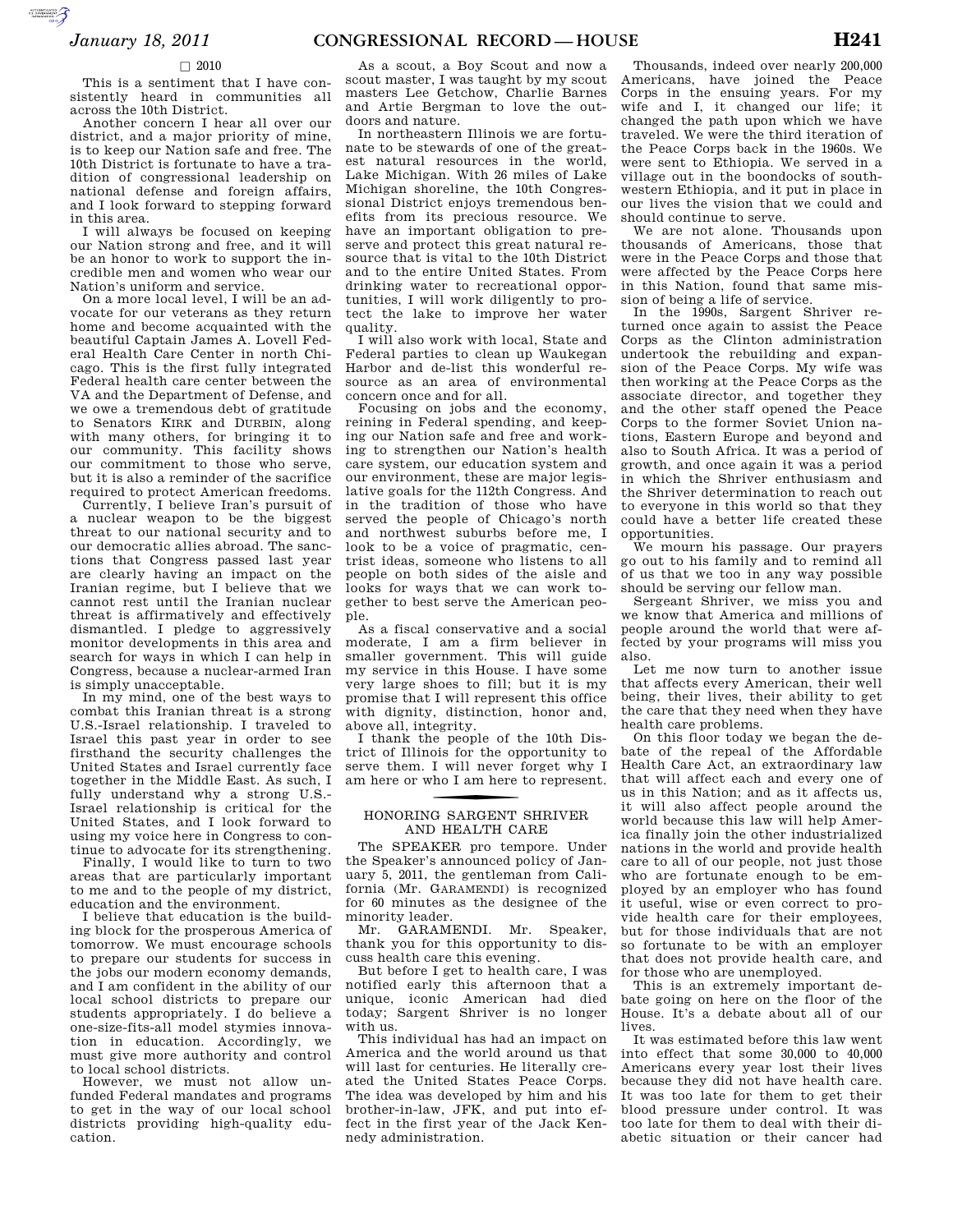#### $\Box$  2010

**SUPERING AND SECURE AND** 

This is a sentiment that I have consistently heard in communities all across the 10th District.

Another concern I hear all over our district, and a major priority of mine, is to keep our Nation safe and free. The 10th District is fortunate to have a tradition of congressional leadership on national defense and foreign affairs, and I look forward to stepping forward in this area.

I will always be focused on keeping our Nation strong and free, and it will be an honor to work to support the incredible men and women who wear our Nation's uniform and service.

On a more local level, I will be an advocate for our veterans as they return home and become acquainted with the beautiful Captain James A. Lovell Federal Health Care Center in north Chicago. This is the first fully integrated Federal health care center between the VA and the Department of Defense, and we owe a tremendous debt of gratitude to Senators KIRK and DURBIN, along with many others, for bringing it to our community. This facility shows our commitment to those who serve, but it is also a reminder of the sacrifice required to protect American freedoms.

Currently, I believe Iran's pursuit of a nuclear weapon to be the biggest threat to our national security and to our democratic allies abroad. The sanctions that Congress passed last year are clearly having an impact on the Iranian regime, but I believe that we cannot rest until the Iranian nuclear threat is affirmatively and effectively dismantled. I pledge to aggressively monitor developments in this area and search for ways in which I can help in Congress, because a nuclear-armed Iran is simply unacceptable.

In my mind, one of the best ways to combat this Iranian threat is a strong U.S.-Israel relationship. I traveled to Israel this past year in order to see firsthand the security challenges the United States and Israel currently face together in the Middle East. As such, I fully understand why a strong U.S.- Israel relationship is critical for the United States, and I look forward to using my voice here in Congress to continue to advocate for its strengthening.

Finally, I would like to turn to two areas that are particularly important to me and to the people of my district, education and the environment.

I believe that education is the building block for the prosperous America of tomorrow. We must encourage schools to prepare our students for success in the jobs our modern economy demands, and I am confident in the ability of our local school districts to prepare our students appropriately. I do believe a one-size-fits-all model stymies innovation in education. Accordingly, we must give more authority and control to local school districts.

However, we must not allow unfunded Federal mandates and programs to get in the way of our local school districts providing high-quality education.

As a scout, a Boy Scout and now a scout master, I was taught by my scout masters Lee Getchow, Charlie Barnes and Artie Bergman to love the outdoors and nature.

In northeastern Illinois we are fortunate to be stewards of one of the greatest natural resources in the world, Lake Michigan. With 26 miles of Lake Michigan shoreline, the 10th Congressional District enjoys tremendous benefits from its precious resource. We have an important obligation to preserve and protect this great natural resource that is vital to the 10th District and to the entire United States. From drinking water to recreational opportunities, I will work diligently to protect the lake to improve her water quality.

I will also work with local, State and Federal parties to clean up Waukegan Harbor and de-list this wonderful resource as an area of environmental concern once and for all.

Focusing on jobs and the economy, reining in Federal spending, and keeping our Nation safe and free and working to strengthen our Nation's health care system, our education system and our environment, these are major legislative goals for the 112th Congress. And in the tradition of those who have served the people of Chicago's north and northwest suburbs before me, I look to be a voice of pragmatic, centrist ideas, someone who listens to all people on both sides of the aisle and looks for ways that we can work together to best serve the American people.

As a fiscal conservative and a social moderate, I am a firm believer in smaller government. This will guide my service in this House. I have some very large shoes to fill; but it is my promise that I will represent this office with dignity, distinction, honor and, above all, integrity.

I thank the people of the 10th District of Illinois for the opportunity to serve them. I will never forget why I am here or who I am here to represent.

## f HONORING SARGENT SHRIVER AND HEALTH CARE

The SPEAKER pro tempore. Under the Speaker's announced policy of January 5, 2011, the gentleman from California (Mr. GARAMENDI) is recognized for 60 minutes as the designee of the minority leader.

Mr. GARAMENDI. Mr. Speaker, thank you for this opportunity to discuss health care this evening.

But before I get to health care, I was notified early this afternoon that a unique, iconic American had died today; Sargent Shriver is no longer with us.

This individual has had an impact on America and the world around us that will last for centuries. He literally created the United States Peace Corps. The idea was developed by him and his brother-in-law, JFK, and put into effect in the first year of the Jack Kennedy administration.

Thousands, indeed over nearly 200,000 Americans, have joined the Peace Corps in the ensuing years. For my wife and I, it changed our life; it changed the path upon which we have traveled. We were the third iteration of the Peace Corps back in the 1960s. We were sent to Ethiopia. We served in a village out in the boondocks of southwestern Ethiopia, and it put in place in our lives the vision that we could and should continue to serve.

We are not alone. Thousands upon thousands of Americans, those that were in the Peace Corps and those that were affected by the Peace Corps here in this Nation, found that same mission of being a life of service.

In the 1990s, Sargent Shriver returned once again to assist the Peace Corps as the Clinton administration undertook the rebuilding and expansion of the Peace Corps. My wife was then working at the Peace Corps as the associate director, and together they and the other staff opened the Peace Corps to the former Soviet Union nations, Eastern Europe and beyond and also to South Africa. It was a period of growth, and once again it was a period in which the Shriver enthusiasm and the Shriver determination to reach out to everyone in this world so that they could have a better life created these opportunities.

We mourn his passage. Our prayers go out to his family and to remind all of us that we too in any way possible should be serving our fellow man.

Sergeant Shriver, we miss you and we know that America and millions of people around the world that were affected by your programs will miss you also.

Let me now turn to another issue that affects every American, their well being, their lives, their ability to get the care that they need when they have health care problems.

On this floor today we began the debate of the repeal of the Affordable Health Care Act, an extraordinary law that will affect each and every one of us in this Nation; and as it affects us, it will also affect people around the world because this law will help America finally join the other industrialized nations in the world and provide health care to all of our people, not just those who are fortunate enough to be employed by an employer who has found it useful, wise or even correct to provide health care for their employees, but for those individuals that are not so fortunate to be with an employer that does not provide health care, and for those who are unemployed.

This is an extremely important debate going on here on the floor of the House. It's a debate about all of our lives.

It was estimated before this law went into effect that some 30,000 to 40,000 Americans every year lost their lives because they did not have health care. It was too late for them to get their blood pressure under control. It was too late for them to deal with their diabetic situation or their cancer had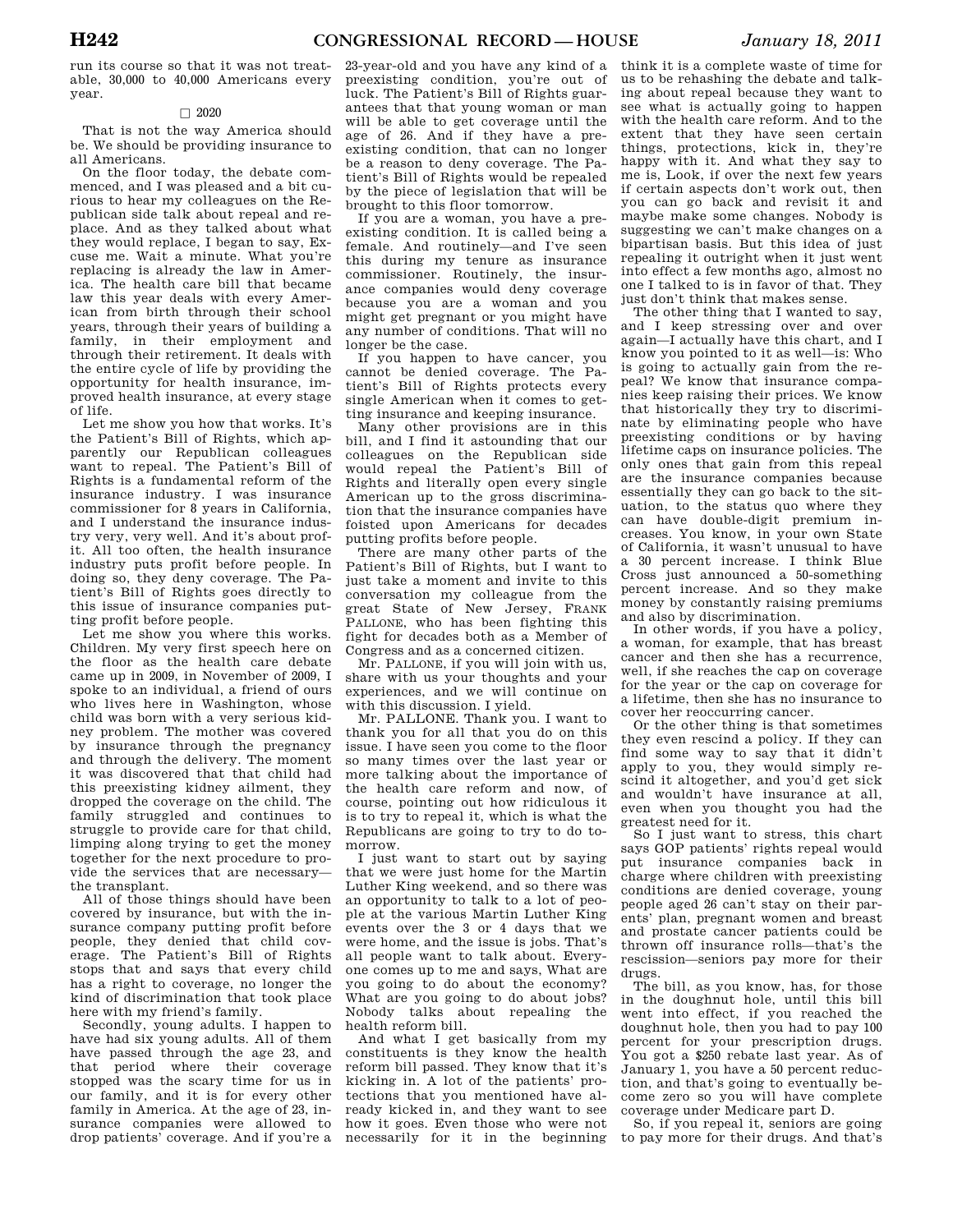run its course so that it was not treatable, 30,000 to 40,000 Americans every year.

#### $\Box$  2020

That is not the way America should be. We should be providing insurance to all Americans.

On the floor today, the debate commenced, and I was pleased and a bit curious to hear my colleagues on the Republican side talk about repeal and replace. And as they talked about what they would replace, I began to say, Excuse me. Wait a minute. What you're replacing is already the law in America. The health care bill that became law this year deals with every American from birth through their school years, through their years of building a family, in their employment and through their retirement. It deals with the entire cycle of life by providing the opportunity for health insurance, improved health insurance, at every stage of life.

Let me show you how that works. It's the Patient's Bill of Rights, which apparently our Republican colleagues want to repeal. The Patient's Bill of Rights is a fundamental reform of the insurance industry. I was insurance commissioner for 8 years in California, and I understand the insurance industry very, very well. And it's about profit. All too often, the health insurance industry puts profit before people. In doing so, they deny coverage. The Patient's Bill of Rights goes directly to this issue of insurance companies putting profit before people.

Let me show you where this works. Children. My very first speech here on the floor as the health care debate came up in 2009, in November of 2009, I spoke to an individual, a friend of ours who lives here in Washington, whose child was born with a very serious kidney problem. The mother was covered by insurance through the pregnancy and through the delivery. The moment it was discovered that that child had this preexisting kidney ailment, they dropped the coverage on the child. The family struggled and continues to struggle to provide care for that child, limping along trying to get the money together for the next procedure to provide the services that are necessary the transplant.

All of those things should have been covered by insurance, but with the insurance company putting profit before people, they denied that child coverage. The Patient's Bill of Rights stops that and says that every child has a right to coverage, no longer the kind of discrimination that took place here with my friend's family.

Secondly, young adults. I happen to have had six young adults. All of them have passed through the age 23, and that period where their coverage stopped was the scary time for us in our family, and it is for every other family in America. At the age of 23, insurance companies were allowed to drop patients' coverage. And if you're a

23-year-old and you have any kind of a preexisting condition, you're out of luck. The Patient's Bill of Rights guarantees that that young woman or man will be able to get coverage until the age of 26. And if they have a preexisting condition, that can no longer be a reason to deny coverage. The Patient's Bill of Rights would be repealed by the piece of legislation that will be brought to this floor tomorrow.

If you are a woman, you have a preexisting condition. It is called being a female. And routinely—and I've seen this during my tenure as insurance commissioner. Routinely, the insurance companies would deny coverage because you are a woman and you might get pregnant or you might have any number of conditions. That will no longer be the case.

If you happen to have cancer, you cannot be denied coverage. The Patient's Bill of Rights protects every single American when it comes to getting insurance and keeping insurance.

Many other provisions are in this bill, and I find it astounding that our colleagues on the Republican side would repeal the Patient's Bill of Rights and literally open every single American up to the gross discrimination that the insurance companies have foisted upon Americans for decades putting profits before people.

There are many other parts of the Patient's Bill of Rights, but I want to just take a moment and invite to this conversation my colleague from the great State of New Jersey, FRANK PALLONE, who has been fighting this fight for decades both as a Member of Congress and as a concerned citizen.

Mr. PALLONE, if you will join with us, share with us your thoughts and your experiences, and we will continue on with this discussion. I yield.

Mr. PALLONE. Thank you. I want to thank you for all that you do on this issue. I have seen you come to the floor so many times over the last year or more talking about the importance of the health care reform and now, of course, pointing out how ridiculous it is to try to repeal it, which is what the Republicans are going to try to do tomorrow.

I just want to start out by saying that we were just home for the Martin Luther King weekend, and so there was an opportunity to talk to a lot of people at the various Martin Luther King events over the 3 or 4 days that we were home, and the issue is jobs. That's all people want to talk about. Everyone comes up to me and says, What are you going to do about the economy? What are you going to do about jobs? Nobody talks about repealing the health reform bill.

And what I get basically from my constituents is they know the health reform bill passed. They know that it's kicking in. A lot of the patients' protections that you mentioned have already kicked in, and they want to see how it goes. Even those who were not necessarily for it in the beginning

think it is a complete waste of time for us to be rehashing the debate and talking about repeal because they want to see what is actually going to happen with the health care reform. And to the extent that they have seen certain things, protections, kick in, they're happy with it. And what they say to me is, Look, if over the next few years if certain aspects don't work out, then you can go back and revisit it and maybe make some changes. Nobody is suggesting we can't make changes on a bipartisan basis. But this idea of just repealing it outright when it just went into effect a few months ago, almost no one I talked to is in favor of that. They just don't think that makes sense.

The other thing that I wanted to say, and I keep stressing over and over again—I actually have this chart, and I know you pointed to it as well—is: Who is going to actually gain from the repeal? We know that insurance companies keep raising their prices. We know that historically they try to discriminate by eliminating people who have preexisting conditions or by having lifetime caps on insurance policies. The only ones that gain from this repeal are the insurance companies because essentially they can go back to the situation, to the status quo where they can have double-digit premium increases. You know, in your own State of California, it wasn't unusual to have a 30 percent increase. I think Blue Cross just announced a 50-something percent increase. And so they make money by constantly raising premiums and also by discrimination.

In other words, if you have a policy a woman, for example, that has breast cancer and then she has a recurrence, well, if she reaches the cap on coverage for the year or the cap on coverage for a lifetime, then she has no insurance to cover her reoccurring cancer.

Or the other thing is that sometimes they even rescind a policy. If they can find some way to say that it didn't apply to you, they would simply rescind it altogether, and you'd get sick and wouldn't have insurance at all, even when you thought you had the greatest need for it.

So I just want to stress, this chart says GOP patients' rights repeal would put insurance companies back in charge where children with preexisting conditions are denied coverage, young people aged 26 can't stay on their parents' plan, pregnant women and breast and prostate cancer patients could be thrown off insurance rolls—that's the rescission—seniors pay more for their drugs.

The bill, as you know, has, for those in the doughnut hole, until this bill went into effect, if you reached the doughnut hole, then you had to pay 100 percent for your prescription drugs. You got a \$250 rebate last year. As of January 1, you have a 50 percent reduction, and that's going to eventually become zero so you will have complete coverage under Medicare part D.

So, if you repeal it, seniors are going to pay more for their drugs. And that's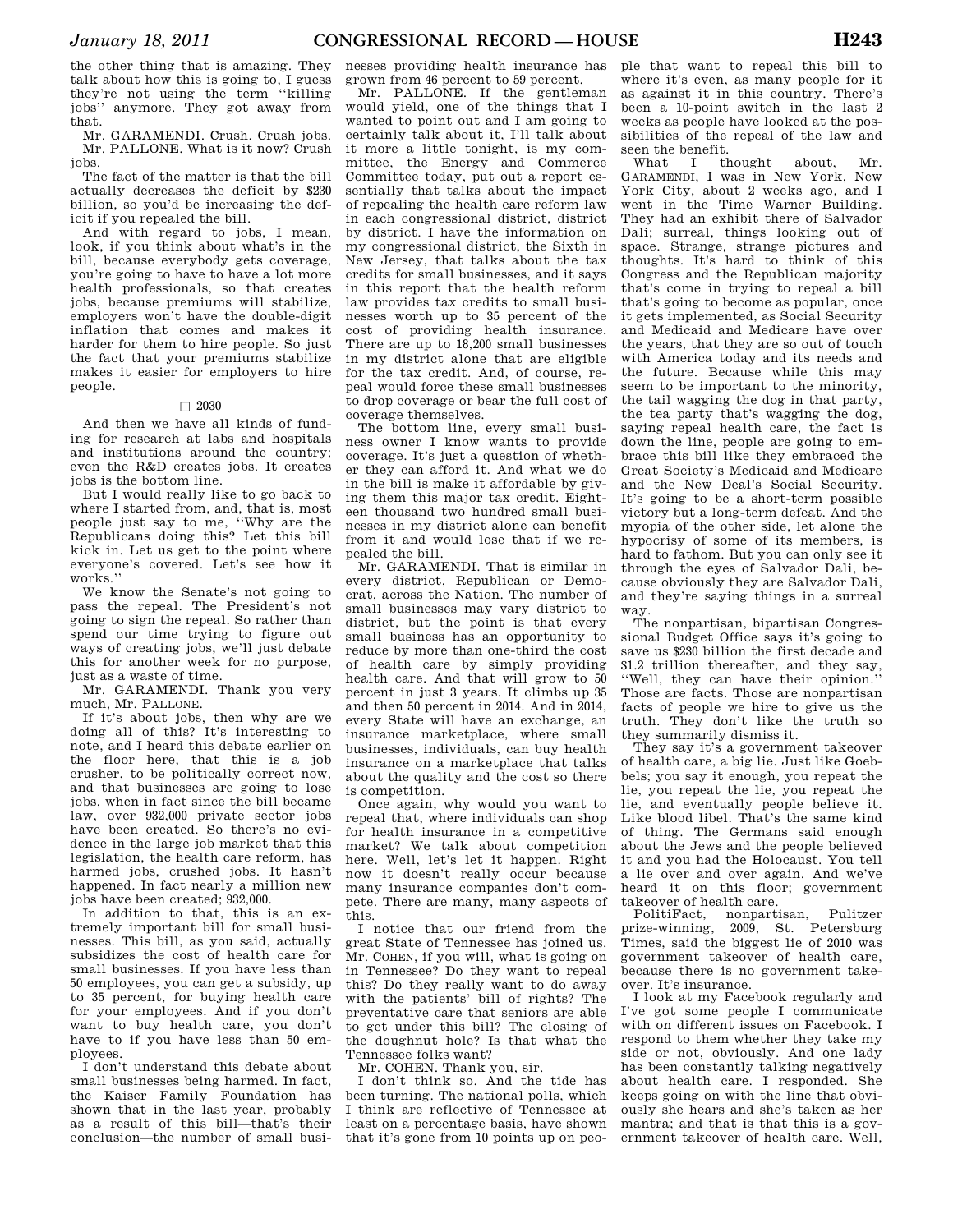the other thing that is amazing. They talk about how this is going to, I guess they're not using the term ''killing jobs'' anymore. They got away from that.

Mr. GARAMENDI. Crush. Crush jobs. Mr. PALLONE. What is it now? Crush jobs.

The fact of the matter is that the bill actually decreases the deficit by \$230 billion, so you'd be increasing the deficit if you repealed the bill.

And with regard to jobs, I mean, look, if you think about what's in the bill, because everybody gets coverage, you're going to have to have a lot more health professionals, so that creates jobs, because premiums will stabilize, employers won't have the double-digit inflation that comes and makes it harder for them to hire people. So just the fact that your premiums stabilize makes it easier for employers to hire people.

### $\Box$  2030

And then we have all kinds of funding for research at labs and hospitals and institutions around the country; even the R&D creates jobs. It creates jobs is the bottom line.

But I would really like to go back to where I started from, and, that is, most people just say to me, ''Why are the Republicans doing this? Let this bill kick in. Let us get to the point where everyone's covered. Let's see how it works.''

We know the Senate's not going to pass the repeal. The President's not going to sign the repeal. So rather than spend our time trying to figure out ways of creating jobs, we'll just debate this for another week for no purpose, just as a waste of time.

Mr. GARAMENDI. Thank you very much, Mr. PALLONE.

If it's about jobs, then why are we doing all of this? It's interesting to note, and I heard this debate earlier on the floor here, that this is a job crusher, to be politically correct now, and that businesses are going to lose jobs, when in fact since the bill became law, over 932,000 private sector jobs have been created. So there's no evidence in the large job market that this legislation, the health care reform, has harmed jobs, crushed jobs. It hasn't happened. In fact nearly a million new jobs have been created; 932,000.

In addition to that, this is an extremely important bill for small businesses. This bill, as you said, actually subsidizes the cost of health care for small businesses. If you have less than 50 employees, you can get a subsidy, up to 35 percent, for buying health care for your employees. And if you don't want to buy health care, you don't have to if you have less than 50 employees.

I don't understand this debate about small businesses being harmed. In fact, the Kaiser Family Foundation has shown that in the last year, probably as a result of this bill—that's their conclusion—the number of small busi-

nesses providing health insurance has grown from 46 percent to 59 percent.

Mr. PALLONE. If the gentleman would yield, one of the things that I wanted to point out and I am going to certainly talk about it, I'll talk about it more a little tonight, is my committee, the Energy and Commerce Committee today, put out a report essentially that talks about the impact of repealing the health care reform law in each congressional district, district by district. I have the information on my congressional district, the Sixth in New Jersey, that talks about the tax credits for small businesses, and it says in this report that the health reform law provides tax credits to small businesses worth up to 35 percent of the cost of providing health insurance. There are up to 18,200 small businesses in my district alone that are eligible for the tax credit. And, of course, repeal would force these small businesses to drop coverage or bear the full cost of coverage themselves.

The bottom line, every small business owner I know wants to provide coverage. It's just a question of whether they can afford it. And what we do in the bill is make it affordable by giving them this major tax credit. Eighteen thousand two hundred small businesses in my district alone can benefit from it and would lose that if we repealed the bill.

Mr. GARAMENDI. That is similar in every district, Republican or Democrat, across the Nation. The number of small businesses may vary district to district, but the point is that every small business has an opportunity to reduce by more than one-third the cost of health care by simply providing health care. And that will grow to 50 percent in just 3 years. It climbs up 35 and then 50 percent in 2014. And in 2014, every State will have an exchange, an insurance marketplace, where small businesses, individuals, can buy health insurance on a marketplace that talks about the quality and the cost so there is competition.

Once again, why would you want to repeal that, where individuals can shop for health insurance in a competitive market? We talk about competition here. Well, let's let it happen. Right now it doesn't really occur because many insurance companies don't compete. There are many, many aspects of this.

I notice that our friend from the great State of Tennessee has joined us. Mr. COHEN, if you will, what is going on in Tennessee? Do they want to repeal this? Do they really want to do away with the patients' bill of rights? The preventative care that seniors are able to get under this bill? The closing of the doughnut hole? Is that what the Tennessee folks want?

Mr. COHEN. Thank you, sir.

I don't think so. And the tide has been turning. The national polls, which I think are reflective of Tennessee at least on a percentage basis, have shown that it's gone from 10 points up on peo-

ple that want to repeal this bill to where it's even, as many people for it as against it in this country. There's been a 10-point switch in the last 2 weeks as people have looked at the possibilities of the repeal of the law and seen the benefit.

What I thought about, Mr. GARAMENDI, I was in New York, New York City, about 2 weeks ago, and I went in the Time Warner Building. They had an exhibit there of Salvador Dali; surreal, things looking out of space. Strange, strange pictures and thoughts. It's hard to think of this Congress and the Republican majority that's come in trying to repeal a bill that's going to become as popular, once it gets implemented, as Social Security and Medicaid and Medicare have over the years, that they are so out of touch with America today and its needs and the future. Because while this may seem to be important to the minority, the tail wagging the dog in that party, the tea party that's wagging the dog, saying repeal health care, the fact is down the line, people are going to embrace this bill like they embraced the Great Society's Medicaid and Medicare and the New Deal's Social Security. It's going to be a short-term possible victory but a long-term defeat. And the myopia of the other side, let alone the hypocrisy of some of its members, is hard to fathom. But you can only see it through the eyes of Salvador Dali, because obviously they are Salvador Dali, and they're saying things in a surreal way.

The nonpartisan, bipartisan Congressional Budget Office says it's going to save us \$230 billion the first decade and save us search thereafter, and they say,<br>\$1.2 trillion thereafter, and they say, ''Well, they can have their opinion.'' Those are facts. Those are nonpartisan facts of people we hire to give us the truth. They don't like the truth so they summarily dismiss it.

They say it's a government takeover of health care, a big lie. Just like Goebbels; you say it enough, you repeat the lie, you repeat the lie, you repeat the lie, and eventually people believe it. Like blood libel. That's the same kind of thing. The Germans said enough about the Jews and the people believed it and you had the Holocaust. You tell a lie over and over again. And we've heard it on this floor; government takeover of health care.

PolitiFact, nonpartisan, Pulitzer prize-winning, 2009, St. Petersburg Times, said the biggest lie of 2010 was government takeover of health care, because there is no government takeover. It's insurance.

I look at my Facebook regularly and I've got some people I communicate with on different issues on Facebook. I respond to them whether they take my side or not, obviously. And one lady has been constantly talking negatively about health care. I responded. She keeps going on with the line that obviously she hears and she's taken as her mantra; and that is that this is a government takeover of health care. Well,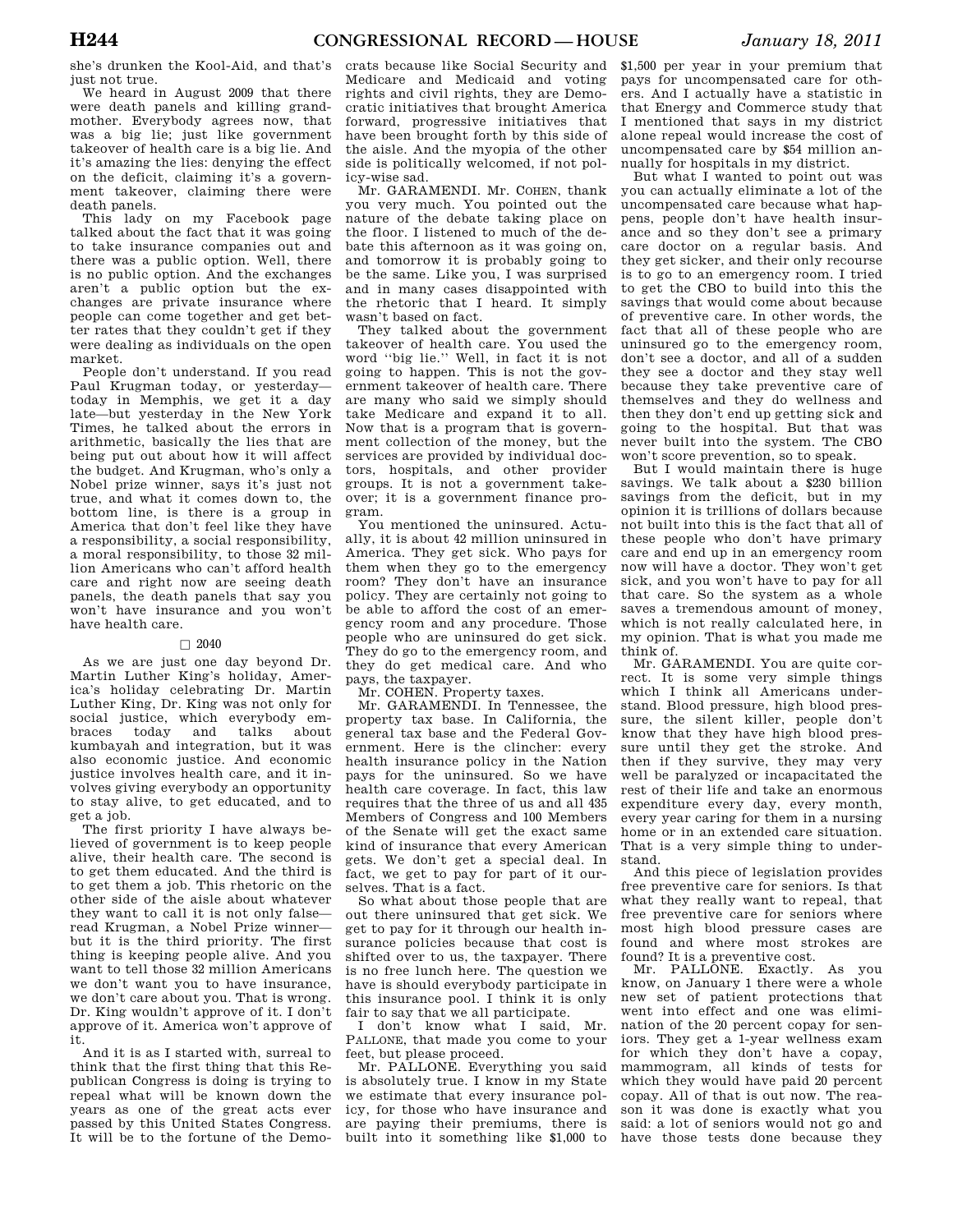she's drunken the Kool-Aid, and that's just not true.

We heard in August 2009 that there were death panels and killing grandmother. Everybody agrees now, that was a big lie; just like government takeover of health care is a big lie. And it's amazing the lies: denying the effect on the deficit, claiming it's a government takeover, claiming there were death panels.

This lady on my Facebook page talked about the fact that it was going to take insurance companies out and there was a public option. Well, there is no public option. And the exchanges aren't a public option but the exchanges are private insurance where people can come together and get better rates that they couldn't get if they were dealing as individuals on the open market.

People don't understand. If you read Paul Krugman today, or yesterday today in Memphis, we get it a day late—but yesterday in the New York Times, he talked about the errors in arithmetic, basically the lies that are being put out about how it will affect the budget. And Krugman, who's only a Nobel prize winner, says it's just not true, and what it comes down to, the bottom line, is there is a group in America that don't feel like they have a responsibility, a social responsibility, a moral responsibility, to those 32 million Americans who can't afford health care and right now are seeing death panels, the death panels that say you won't have insurance and you won't have health care.

#### $\Box$  2040

As we are just one day beyond Dr. Martin Luther King's holiday, America's holiday celebrating Dr. Martin Luther King, Dr. King was not only for social justice, which everybody embraces today and talks about kumbayah and integration, but it was also economic justice. And economic justice involves health care, and it involves giving everybody an opportunity to stay alive, to get educated, and to get a job.

The first priority I have always believed of government is to keep people alive, their health care. The second is to get them educated. And the third is to get them a job. This rhetoric on the other side of the aisle about whatever they want to call it is not only false read Krugman, a Nobel Prize winner but it is the third priority. The first thing is keeping people alive. And you want to tell those 32 million Americans we don't want you to have insurance, we don't care about you. That is wrong. Dr. King wouldn't approve of it. I don't approve of it. America won't approve of it.

And it is as I started with, surreal to think that the first thing that this Republican Congress is doing is trying to repeal what will be known down the years as one of the great acts ever passed by this United States Congress. It will be to the fortune of the Demo-

crats because like Social Security and Medicare and Medicaid and voting rights and civil rights, they are Democratic initiatives that brought America forward, progressive initiatives that have been brought forth by this side of the aisle. And the myopia of the other side is politically welcomed, if not policy-wise sad.

Mr. GARAMENDI. Mr. COHEN, thank you very much. You pointed out the nature of the debate taking place on the floor. I listened to much of the debate this afternoon as it was going on, and tomorrow it is probably going to be the same. Like you, I was surprised and in many cases disappointed with the rhetoric that I heard. It simply wasn't based on fact.

They talked about the government takeover of health care. You used the word ''big lie.'' Well, in fact it is not going to happen. This is not the government takeover of health care. There are many who said we simply should take Medicare and expand it to all. Now that is a program that is government collection of the money, but the services are provided by individual doctors, hospitals, and other provider groups. It is not a government takeover; it is a government finance program.

You mentioned the uninsured. Actually, it is about 42 million uninsured in America. They get sick. Who pays for them when they go to the emergency room? They don't have an insurance policy. They are certainly not going to be able to afford the cost of an emergency room and any procedure. Those people who are uninsured do get sick. They do go to the emergency room, and they do get medical care. And who pays, the taxpayer.

Mr. COHEN. Property taxes.

Mr. GARAMENDI. In Tennessee, the property tax base. In California, the general tax base and the Federal Government. Here is the clincher: every health insurance policy in the Nation pays for the uninsured. So we have health care coverage. In fact, this law requires that the three of us and all 435 Members of Congress and 100 Members of the Senate will get the exact same kind of insurance that every American gets. We don't get a special deal. In fact, we get to pay for part of it ourselves. That is a fact.

So what about those people that are out there uninsured that get sick. We get to pay for it through our health insurance policies because that cost is shifted over to us, the taxpayer. There is no free lunch here. The question we have is should everybody participate in this insurance pool. I think it is only fair to say that we all participate.

I don't know what I said, Mr. PALLONE, that made you come to your feet, but please proceed.

Mr. PALLONE. Everything you said is absolutely true. I know in my State we estimate that every insurance policy, for those who have insurance and are paying their premiums, there is built into it something like \$1,000 to

\$1,500 per year in your premium that pays for uncompensated care for others. And I actually have a statistic in that Energy and Commerce study that I mentioned that says in my district alone repeal would increase the cost of uncompensated care by \$54 million annually for hospitals in my district.

But what I wanted to point out was you can actually eliminate a lot of the uncompensated care because what happens, people don't have health insurance and so they don't see a primary care doctor on a regular basis. And they get sicker, and their only recourse is to go to an emergency room. I tried to get the CBO to build into this the savings that would come about because of preventive care. In other words, the fact that all of these people who are uninsured go to the emergency room, don't see a doctor, and all of a sudden they see a doctor and they stay well because they take preventive care of themselves and they do wellness and then they don't end up getting sick and going to the hospital. But that was never built into the system. The CBO won't score prevention, so to speak.

But I would maintain there is huge savings. We talk about a \$230 billion savings from the deficit, but in my opinion it is trillions of dollars because not built into this is the fact that all of these people who don't have primary care and end up in an emergency room now will have a doctor. They won't get sick, and you won't have to pay for all that care. So the system as a whole saves a tremendous amount of money, which is not really calculated here, in my opinion. That is what you made me think of.

Mr. GARAMENDI. You are quite correct. It is some very simple things which I think all Americans understand. Blood pressure, high blood pressure, the silent killer, people don't know that they have high blood pressure until they get the stroke. And then if they survive, they may very well be paralyzed or incapacitated the rest of their life and take an enormous expenditure every day, every month, every year caring for them in a nursing home or in an extended care situation. That is a very simple thing to understand.

And this piece of legislation provides free preventive care for seniors. Is that what they really want to repeal, that free preventive care for seniors where most high blood pressure cases are found and where most strokes are found? It is a preventive cost.

Mr. PALLONE. Exactly. As you know, on January 1 there were a whole new set of patient protections that went into effect and one was elimination of the 20 percent copay for seniors. They get a 1-year wellness exam for which they don't have a copay, mammogram, all kinds of tests for which they would have paid 20 percent copay. All of that is out now. The reason it was done is exactly what you said: a lot of seniors would not go and have those tests done because they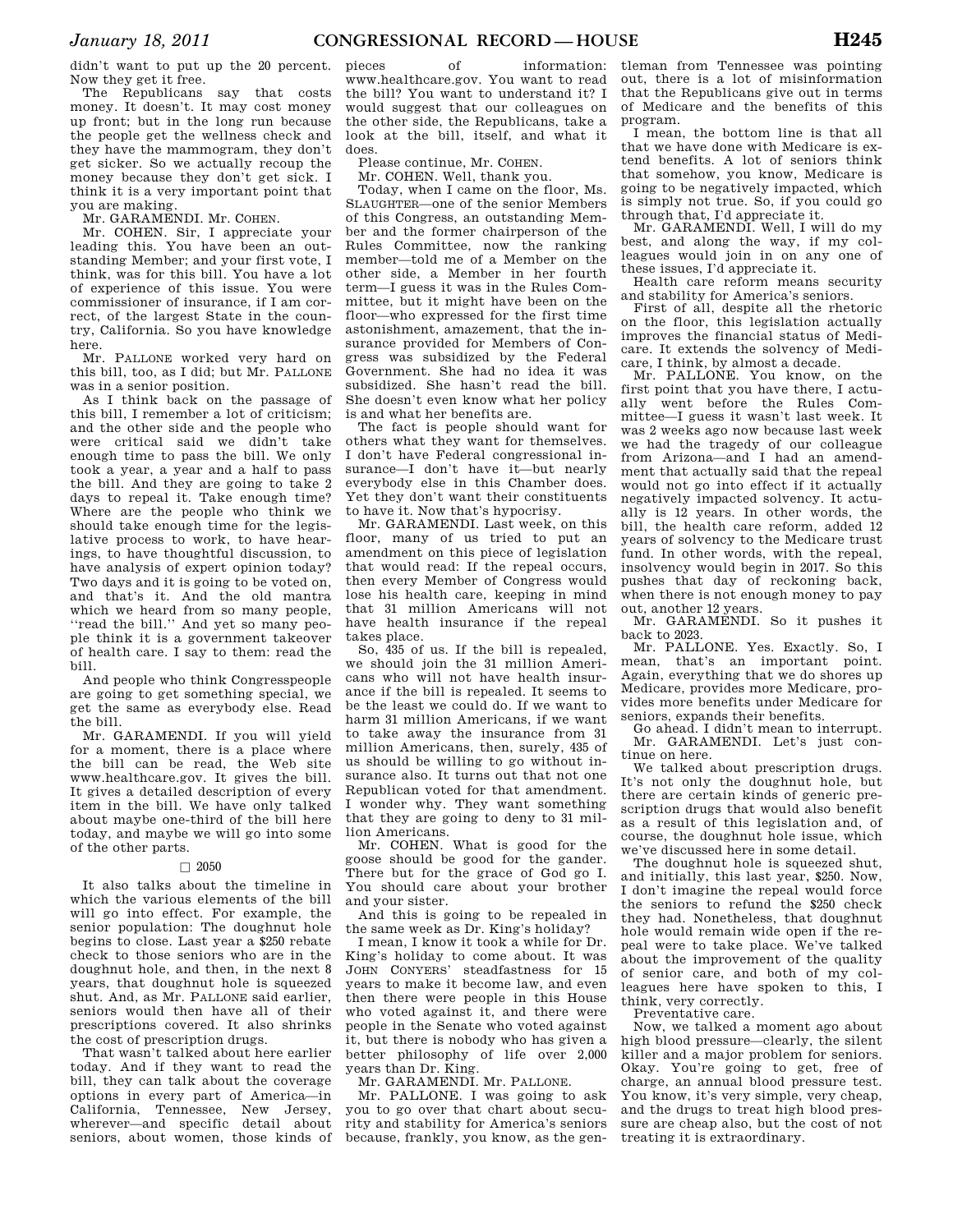didn't want to put up the 20 percent. Now they get it free.

The Republicans say that costs money. It doesn't. It may cost money up front; but in the long run because the people get the wellness check and they have the mammogram, they don't get sicker. So we actually recoup the money because they don't get sick. I think it is a very important point that you are making.

Mr. GARAMENDI. Mr. COHEN.

Mr. COHEN. Sir, I appreciate your leading this. You have been an outstanding Member; and your first vote, I think, was for this bill. You have a lot of experience of this issue. You were commissioner of insurance, if I am correct, of the largest State in the country, California. So you have knowledge here.

Mr. PALLONE worked very hard on this bill, too, as I did; but Mr. PALLONE was in a senior position.

As I think back on the passage of this bill, I remember a lot of criticism; and the other side and the people who were critical said we didn't take enough time to pass the bill. We only took a year, a year and a half to pass the bill. And they are going to take 2 days to repeal it. Take enough time? Where are the people who think we should take enough time for the legislative process to work, to have hearings, to have thoughtful discussion, to have analysis of expert opinion today? Two days and it is going to be voted on, and that's it. And the old mantra which we heard from so many people, ''read the bill.'' And yet so many people think it is a government takeover of health care. I say to them: read the bill.

And people who think Congresspeople are going to get something special, we get the same as everybody else. Read the bill.

Mr. GARAMENDI. If you will yield for a moment, there is a place where the bill can be read, the Web site www.healthcare.gov. It gives the bill. It gives a detailed description of every item in the bill. We have only talked about maybe one-third of the bill here today, and maybe we will go into some of the other parts.

#### $\Box$  2050

It also talks about the timeline in which the various elements of the bill will go into effect. For example, the senior population: The doughnut hole begins to close. Last year a \$250 rebate check to those seniors who are in the doughnut hole, and then, in the next 8 years, that doughnut hole is squeezed shut. And, as Mr. PALLONE said earlier, seniors would then have all of their prescriptions covered. It also shrinks the cost of prescription drugs.

That wasn't talked about here earlier today. And if they want to read the bill, they can talk about the coverage options in every part of America—in California, Tennessee, New Jersey, wherever—and specific detail about seniors, about women, those kinds of

pieces of information: www.healthcare.gov. You want to read the bill? You want to understand it? I would suggest that our colleagues on the other side, the Republicans, take a look at the bill, itself, and what it does.

Please continue, Mr. COHEN.

Mr. COHEN. Well, thank you.

Today, when I came on the floor, Ms. SLAUGHTER—one of the senior Members of this Congress, an outstanding Member and the former chairperson of the Rules Committee, now the ranking member—told me of a Member on the other side, a Member in her fourth term—I guess it was in the Rules Committee, but it might have been on the floor—who expressed for the first time astonishment, amazement, that the insurance provided for Members of Congress was subsidized by the Federal Government. She had no idea it was subsidized. She hasn't read the bill. She doesn't even know what her policy is and what her benefits are.

The fact is people should want for others what they want for themselves. I don't have Federal congressional insurance—I don't have it—but nearly everybody else in this Chamber does. Yet they don't want their constituents to have it. Now that's hypocrisy.

Mr. GARAMENDI. Last week, on this floor, many of us tried to put an amendment on this piece of legislation that would read: If the repeal occurs, then every Member of Congress would lose his health care, keeping in mind that 31 million Americans will not have health insurance if the repeal takes place.

So, 435 of us. If the bill is repealed, we should join the 31 million Americans who will not have health insurance if the bill is repealed. It seems to be the least we could do. If we want to harm 31 million Americans, if we want to take away the insurance from 31 million Americans, then, surely, 435 of us should be willing to go without insurance also. It turns out that not one Republican voted for that amendment. I wonder why. They want something that they are going to deny to 31 million Americans.

Mr. COHEN. What is good for the goose should be good for the gander. There but for the grace of God go I. You should care about your brother and your sister.

And this is going to be repealed in the same week as Dr. King's holiday?

I mean, I know it took a while for Dr. King's holiday to come about. It was JOHN CONYERS' steadfastness for 15 years to make it become law, and even then there were people in this House who voted against it, and there were people in the Senate who voted against it, but there is nobody who has given a better philosophy of life over 2,000 years than Dr. King.

Mr. GARAMENDI. Mr. PALLONE.

Mr. PALLONE. I was going to ask you to go over that chart about security and stability for America's seniors because, frankly, you know, as the gen-

tleman from Tennessee was pointing out, there is a lot of misinformation that the Republicans give out in terms of Medicare and the benefits of this program.

I mean, the bottom line is that all that we have done with Medicare is extend benefits. A lot of seniors think that somehow, you know, Medicare is going to be negatively impacted, which is simply not true. So, if you could go through that, I'd appreciate it.

Mr. GARAMENDI. Well, I will do my best, and along the way, if my colleagues would join in on any one of these issues, I'd appreciate it.

Health care reform means security and stability for America's seniors.

First of all, despite all the rhetoric on the floor, this legislation actually improves the financial status of Medicare. It extends the solvency of Medicare, I think, by almost a decade.

Mr. PALLONE. You know, on the first point that you have there, I actually went before the Rules Committee—I guess it wasn't last week. It was 2 weeks ago now because last week we had the tragedy of our colleague from Arizona—and I had an amendment that actually said that the repeal would not go into effect if it actually negatively impacted solvency. It actually is 12 years. In other words, the bill, the health care reform, added 12 years of solvency to the Medicare trust fund. In other words, with the repeal, insolvency would begin in 2017. So this pushes that day of reckoning back, when there is not enough money to pay out, another 12 years.

Mr. GARAMENDI. So it pushes it back to 2023.

Mr. PALLONE. Yes. Exactly. So, I mean, that's an important point. Again, everything that we do shores up Medicare, provides more Medicare, provides more benefits under Medicare for seniors, expands their benefits.

Go ahead. I didn't mean to interrupt. Mr. GARAMENDI. Let's just continue on here.

We talked about prescription drugs. It's not only the doughnut hole, but there are certain kinds of generic prescription drugs that would also benefit as a result of this legislation and, of course, the doughnut hole issue, which we've discussed here in some detail.

The doughnut hole is squeezed shut, and initially, this last year, \$250. Now, I don't imagine the repeal would force the seniors to refund the \$250 check they had. Nonetheless, that doughnut hole would remain wide open if the repeal were to take place. We've talked about the improvement of the quality of senior care, and both of my colleagues here have spoken to this, I think, very correctly.

Preventative care.

Now, we talked a moment ago about high blood pressure—clearly, the silent killer and a major problem for seniors. Okay. You're going to get, free of charge, an annual blood pressure test. You know, it's very simple, very cheap, and the drugs to treat high blood pressure are cheap also, but the cost of not treating it is extraordinary.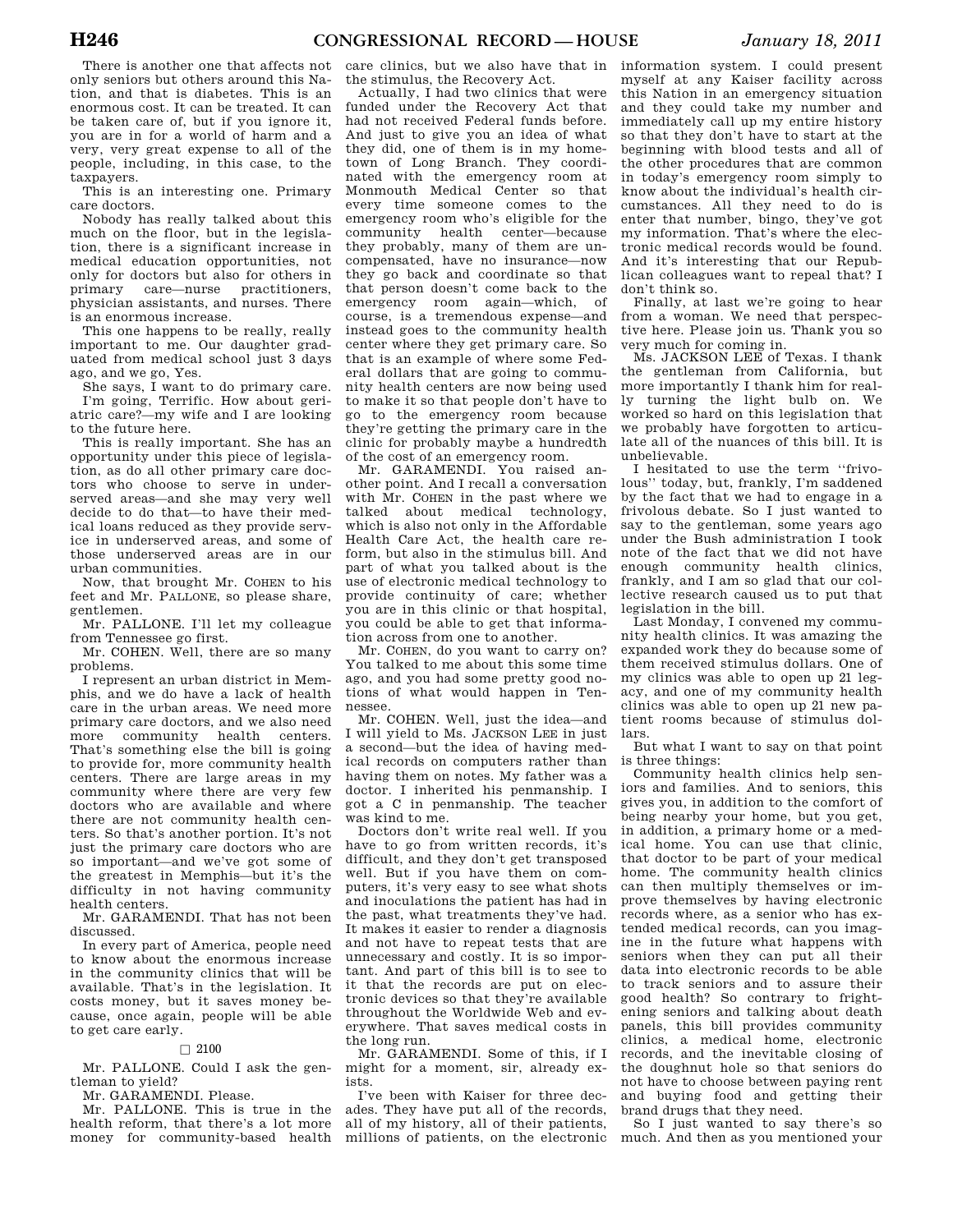There is another one that affects not only seniors but others around this Nation, and that is diabetes. This is an enormous cost. It can be treated. It can be taken care of, but if you ignore it, you are in for a world of harm and a very, very great expense to all of the people, including, in this case, to the taxpayers.

This is an interesting one. Primary care doctors.

Nobody has really talked about this much on the floor, but in the legislation, there is a significant increase in medical education opportunities, not only for doctors but also for others in primary care—nurse practitioners, physician assistants, and nurses. There is an enormous increase.

This one happens to be really, really important to me. Our daughter graduated from medical school just 3 days ago, and we go, Yes.

She says, I want to do primary care. I'm going, Terrific. How about geriatric care?—my wife and I are looking to the future here.

This is really important. She has an opportunity under this piece of legislation, as do all other primary care doctors who choose to serve in underserved areas—and she may very well decide to do that—to have their medical loans reduced as they provide service in underserved areas, and some of those underserved areas are in our urban communities.

Now, that brought Mr. COHEN to his feet and Mr. PALLONE, so please share, gentlemen.

Mr. PALLONE. I'll let my colleague from Tennessee go first.

Mr. COHEN. Well, there are so many problems.

I represent an urban district in Memphis, and we do have a lack of health care in the urban areas. We need more primary care doctors, and we also need more community health centers. That's something else the bill is going to provide for, more community health centers. There are large areas in my community where there are very few doctors who are available and where there are not community health centers. So that's another portion. It's not just the primary care doctors who are so important—and we've got some of the greatest in Memphis—but it's the difficulty in not having community health centers.

Mr. GARAMENDI. That has not been discussed.

In every part of America, people need to know about the enormous increase in the community clinics that will be available. That's in the legislation. It costs money, but it saves money because, once again, people will be able to get care early.

#### $\Box$  2100

Mr. PALLONE. Could I ask the gentleman to yield?

Mr. GARAMENDI. Please.

Mr. PALLONE. This is true in the health reform, that there's a lot more money for community-based health

care clinics, but we also have that in the stimulus, the Recovery Act.

Actually, I had two clinics that were funded under the Recovery Act that had not received Federal funds before. And just to give you an idea of what they did, one of them is in my hometown of Long Branch. They coordinated with the emergency room at Monmouth Medical Center so that every time someone comes to the emergency room who's eligible for the community health center—because they probably, many of them are uncompensated, have no insurance—now they go back and coordinate so that that person doesn't come back to the emergency room again—which, of course, is a tremendous expense—and instead goes to the community health center where they get primary care. So that is an example of where some Federal dollars that are going to community health centers are now being used to make it so that people don't have to go to the emergency room because they're getting the primary care in the clinic for probably maybe a hundredth of the cost of an emergency room.

Mr. GARAMENDI. You raised another point. And I recall a conversation with Mr. COHEN in the past where we talked about medical technology, which is also not only in the Affordable Health Care Act, the health care reform, but also in the stimulus bill. And part of what you talked about is the use of electronic medical technology to provide continuity of care; whether you are in this clinic or that hospital, you could be able to get that information across from one to another.

Mr. COHEN, do you want to carry on? You talked to me about this some time ago, and you had some pretty good notions of what would happen in Tennessee.

Mr. COHEN. Well, just the idea—and I will yield to Ms. JACKSON LEE in just a second—but the idea of having medical records on computers rather than having them on notes. My father was a doctor. I inherited his penmanship. I got a C in penmanship. The teacher was kind to me.

Doctors don't write real well. If you have to go from written records, it's difficult, and they don't get transposed well. But if you have them on computers, it's very easy to see what shots and inoculations the patient has had in the past, what treatments they've had. It makes it easier to render a diagnosis and not have to repeat tests that are unnecessary and costly. It is so important. And part of this bill is to see to it that the records are put on electronic devices so that they're available throughout the Worldwide Web and everywhere. That saves medical costs in the long run.

Mr. GARAMENDI. Some of this, if I might for a moment, sir, already exists.

I've been with Kaiser for three decades. They have put all of the records, all of my history, all of their patients, millions of patients, on the electronic

information system. I could present myself at any Kaiser facility across this Nation in an emergency situation and they could take my number and immediately call up my entire history so that they don't have to start at the beginning with blood tests and all of the other procedures that are common in today's emergency room simply to know about the individual's health circumstances. All they need to do is enter that number, bingo, they've got my information. That's where the electronic medical records would be found. And it's interesting that our Republican colleagues want to repeal that? I don't think so.

Finally, at last we're going to hear from a woman. We need that perspective here. Please join us. Thank you so very much for coming in.

Ms. JACKSON LEE of Texas. I thank the gentleman from California, but more importantly I thank him for really turning the light bulb on. We worked so hard on this legislation that we probably have forgotten to articulate all of the nuances of this bill. It is unbelievable.

I hesitated to use the term ''frivolous'' today, but, frankly, I'm saddened by the fact that we had to engage in a frivolous debate. So I just wanted to say to the gentleman, some years ago under the Bush administration I took note of the fact that we did not have enough community health clinics, frankly, and I am so glad that our collective research caused us to put that legislation in the bill.

Last Monday, I convened my community health clinics. It was amazing the expanded work they do because some of them received stimulus dollars. One of my clinics was able to open up 21 legacy, and one of my community health clinics was able to open up 21 new patient rooms because of stimulus dollars.

But what I want to say on that point is three things:

Community health clinics help seniors and families. And to seniors, this gives you, in addition to the comfort of being nearby your home, but you get, in addition, a primary home or a medical home. You can use that clinic, that doctor to be part of your medical home. The community health clinics can then multiply themselves or improve themselves by having electronic records where, as a senior who has extended medical records, can you imagine in the future what happens with seniors when they can put all their data into electronic records to be able to track seniors and to assure their good health? So contrary to frightening seniors and talking about death panels, this bill provides community clinics, a medical home, electronic records, and the inevitable closing of the doughnut hole so that seniors do not have to choose between paying rent and buying food and getting their brand drugs that they need.

So I just wanted to say there's so much. And then as you mentioned your